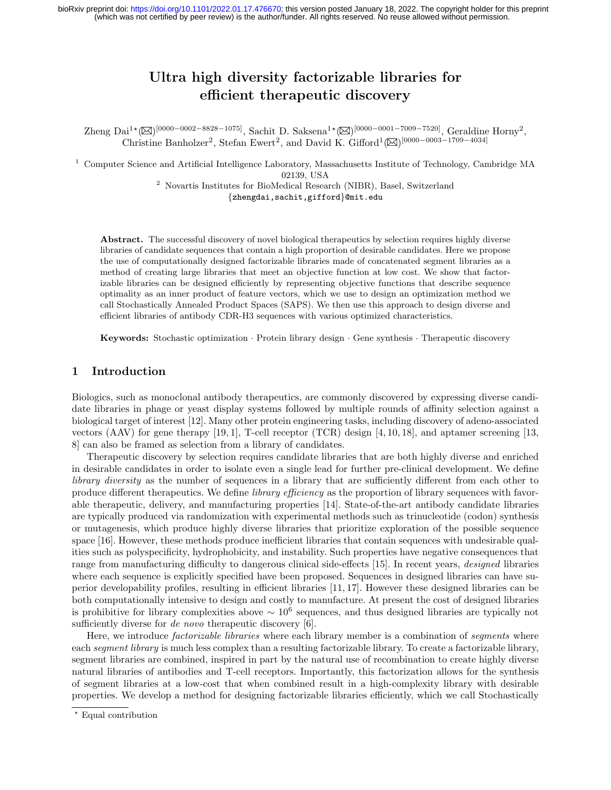## Ultra high diversity factorizable libraries for efficient therapeutic discovery

 $\text{Zheng Dai}^{1\star}(\boxtimes)^{[0000-0002-8828-1075]},$  Sachit D. Saksena<sup>1</sup>\*( $\boxtimes$ )<sup>[0000–0001–7009–7520]</sup>, Geraldine Horny<sup>2</sup>, Christine Banholzer<sup>2</sup>, Stefan Ewert<sup>2</sup>, and David K. Gifford<sup>1</sup>( $\boxtimes$ )<sup>[0000–0003–1709–4034]</sup>

<sup>1</sup> Computer Science and Artificial Intelligence Laboratory, Massachusetts Institute of Technology, Cambridge MA 02139, USA

<sup>2</sup> Novartis Institutes for BioMedical Research (NIBR), Basel, Switzerland {zhengdai,sachit,gifford}@mit.edu

Abstract. The successful discovery of novel biological therapeutics by selection requires highly diverse libraries of candidate sequences that contain a high proportion of desirable candidates. Here we propose the use of computationally designed factorizable libraries made of concatenated segment libraries as a method of creating large libraries that meet an objective function at low cost. We show that factorizable libraries can be designed efficiently by representing objective functions that describe sequence optimality as an inner product of feature vectors, which we use to design an optimization method we call Stochastically Annealed Product Spaces (SAPS). We then use this approach to design diverse and efficient libraries of antibody CDR-H3 sequences with various optimized characteristics.

Keywords: Stochastic optimization · Protein library design · Gene synthesis · Therapeutic discovery

## 1 Introduction

Biologics, such as monoclonal antibody therapeutics, are commonly discovered by expressing diverse candidate libraries in phage or yeast display systems followed by multiple rounds of affinity selection against a biological target of interest [12]. Many other protein engineering tasks, including discovery of adeno-associated vectors (AAV) for gene therapy [19, 1], T-cell receptor (TCR) design [4, 10, 18], and aptamer screening [13, 8] can also be framed as selection from a library of candidates.

Therapeutic discovery by selection requires candidate libraries that are both highly diverse and enriched in desirable candidates in order to isolate even a single lead for further pre-clinical development. We define library diversity as the number of sequences in a library that are sufficiently different from each other to produce different therapeutics. We define *library efficiency* as the proportion of library sequences with favorable therapeutic, delivery, and manufacturing properties [14]. State-of-the-art antibody candidate libraries are typically produced via randomization with experimental methods such as trinucleotide (codon) synthesis or mutagenesis, which produce highly diverse libraries that prioritize exploration of the possible sequence space [16]. However, these methods produce inefficient libraries that contain sequences with undesirable qualities such as polyspecificity, hydrophobicity, and instability. Such properties have negative consequences that range from manufacturing difficulty to dangerous clinical side-effects [15]. In recent years, designed libraries where each sequence is explicitly specified have been proposed. Sequences in designed libraries can have superior developability profiles, resulting in efficient libraries [11, 17]. However these designed libraries can be both computationally intensive to design and costly to manufacture. At present the cost of designed libraries is prohibitive for library complexities above  $\sim 10^6$  sequences, and thus designed libraries are typically not sufficiently diverse for *de novo* therapeutic discovery [6].

Here, we introduce *factorizable libraries* where each library member is a combination of *segments* where each segment library is much less complex than a resulting factorizable library. To create a factorizable library, segment libraries are combined, inspired in part by the natural use of recombination to create highly diverse natural libraries of antibodies and T-cell receptors. Importantly, this factorization allows for the synthesis of segment libraries at a low-cost that when combined result in a high-complexity library with desirable properties. We develop a method for designing factorizable libraries efficiently, which we call Stochastically

<sup>⋆</sup> Equal contribution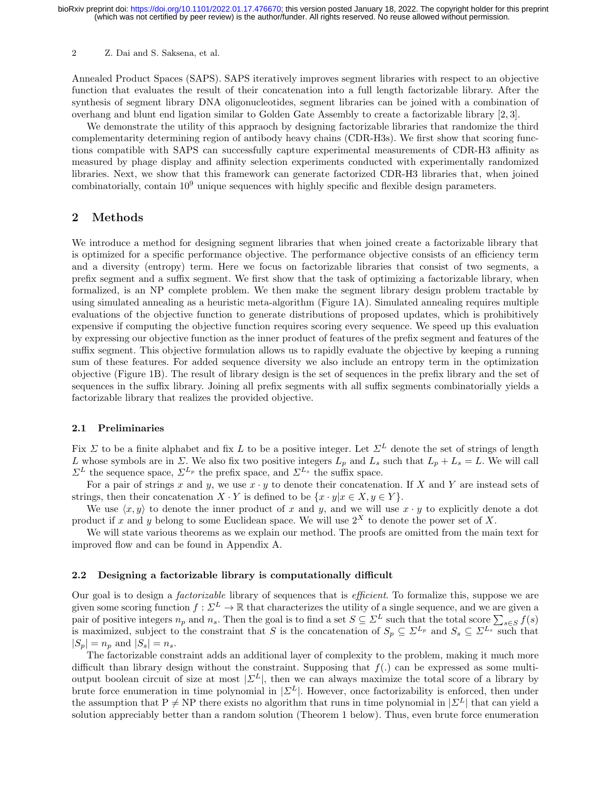Annealed Product Spaces (SAPS). SAPS iteratively improves segment libraries with respect to an objective function that evaluates the result of their concatenation into a full length factorizable library. After the synthesis of segment library DNA oligonucleotides, segment libraries can be joined with a combination of overhang and blunt end ligation similar to Golden Gate Assembly to create a factorizable library [2, 3].

We demonstrate the utility of this appraoch by designing factorizable libraries that randomize the third complementarity determining region of antibody heavy chains (CDR-H3s). We first show that scoring functions compatible with SAPS can successfully capture experimental measurements of CDR-H3 affinity as measured by phage display and affinity selection experiments conducted with experimentally randomized libraries. Next, we show that this framework can generate factorized CDR-H3 libraries that, when joined combinatorially, contain 10<sup>9</sup> unique sequences with highly specific and flexible design parameters.

## 2 Methods

We introduce a method for designing segment libraries that when joined create a factorizable library that is optimized for a specific performance objective. The performance objective consists of an efficiency term and a diversity (entropy) term. Here we focus on factorizable libraries that consist of two segments, a prefix segment and a suffix segment. We first show that the task of optimizing a factorizable library, when formalized, is an NP complete problem. We then make the segment library design problem tractable by using simulated annealing as a heuristic meta-algorithm (Figure 1A). Simulated annealing requires multiple evaluations of the objective function to generate distributions of proposed updates, which is prohibitively expensive if computing the objective function requires scoring every sequence. We speed up this evaluation by expressing our objective function as the inner product of features of the prefix segment and features of the suffix segment. This objective formulation allows us to rapidly evaluate the objective by keeping a running sum of these features. For added sequence diversity we also include an entropy term in the optimization objective (Figure 1B). The result of library design is the set of sequences in the prefix library and the set of sequences in the suffix library. Joining all prefix segments with all suffix segments combinatorially yields a factorizable library that realizes the provided objective.

#### 2.1 Preliminaries

Fix  $\Sigma$  to be a finite alphabet and fix L to be a positive integer. Let  $\Sigma^L$  denote the set of strings of length L whose symbols are in  $\Sigma$ . We also fix two positive integers  $L_p$  and  $L_s$  such that  $L_p + L_s = L$ . We will call  $\Sigma^L$  the sequence space,  $\Sigma^{L_p}$  the prefix space, and  $\Sigma^{L_s}$  the suffix space.

For a pair of strings x and y, we use  $x \cdot y$  to denote their concatenation. If X and Y are instead sets of strings, then their concatenation  $X \cdot Y$  is defined to be  $\{x \cdot y | x \in X, y \in Y\}$ .

We use  $\langle x, y \rangle$  to denote the inner product of x and y, and we will use  $x \cdot y$  to explicitly denote a dot product if x and y belong to some Euclidean space. We will use  $2^X$  to denote the power set of X.

We will state various theorems as we explain our method. The proofs are omitted from the main text for improved flow and can be found in Appendix A.

#### 2.2 Designing a factorizable library is computationally difficult

Our goal is to design a factorizable library of sequences that is efficient. To formalize this, suppose we are given some scoring function  $f: \Sigma^L \to \mathbb{R}$  that characterizes the utility of a single sequence, and we are given a pair of positive integers  $n_p$  and  $n_s$ . Then the goal is to find a set  $S \subseteq \Sigma^L$  such that the total score  $\sum_{s \in S} f(s)$ is maximized, subject to the constraint that S is the concatenation of  $S_p \subseteq \Sigma^{L_p}$  and  $S_s \subseteq \Sigma^{L_s}$  such that  $|S_p| = n_p$  and  $|S_s| = n_s$ .

The factorizable constraint adds an additional layer of complexity to the problem, making it much more difficult than library design without the constraint. Supposing that  $f(.)$  can be expressed as some multioutput boolean circuit of size at most  $|\mathcal{Z}^L|$ , then we can always maximize the total score of a library by brute force enumeration in time polynomial in  $|\mathcal{Z}^L|$ . However, once factorizability is enforced, then under the assumption that P  $\neq$  NP there exists no algorithm that runs in time polynomial in  $|\Sigma^L|$  that can yield a solution appreciably better than a random solution (Theorem 1 below). Thus, even brute force enumeration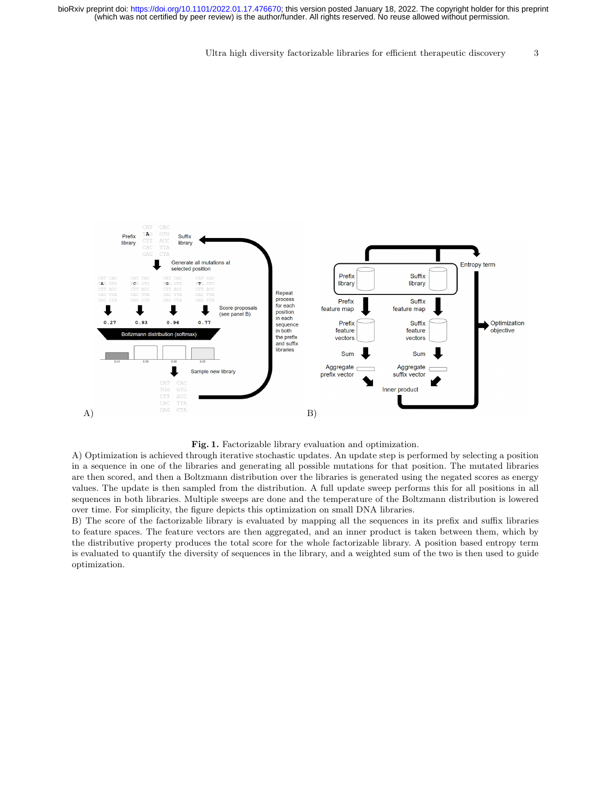Ultra high diversity factorizable libraries for efficient therapeutic discovery 3





A) Optimization is achieved through iterative stochastic updates. An update step is performed by selecting a position in a sequence in one of the libraries and generating all possible mutations for that position. The mutated libraries are then scored, and then a Boltzmann distribution over the libraries is generated using the negated scores as energy values. The update is then sampled from the distribution. A full update sweep performs this for all positions in all sequences in both libraries. Multiple sweeps are done and the temperature of the Boltzmann distribution is lowered over time. For simplicity, the figure depicts this optimization on small DNA libraries.

B) The score of the factorizable library is evaluated by mapping all the sequences in its prefix and suffix libraries to feature spaces. The feature vectors are then aggregated, and an inner product is taken between them, which by the distributive property produces the total score for the whole factorizable library. A position based entropy term is evaluated to quantify the diversity of sequences in the library, and a weighted sum of the two is then used to guide optimization.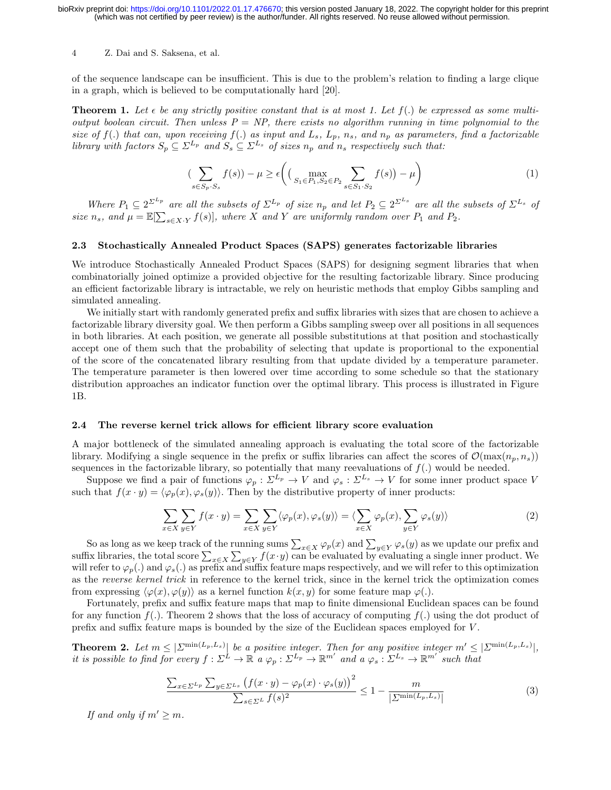of the sequence landscape can be insufficient. This is due to the problem's relation to finding a large clique in a graph, which is believed to be computationally hard [20].

**Theorem 1.** Let  $\epsilon$  be any strictly positive constant that is at most 1. Let  $f(.)$  be expressed as some multioutput boolean circuit. Then unless  $P = NP$ , there exists no algorithm running in time polynomial to the size of  $f(.)$  that can, upon receiving  $f(.)$  as input and  $L_s$ ,  $L_p$ ,  $n_s$ , and  $n_p$  as parameters, find a factorizable library with factors  $S_p \subseteq \Sigma^{L_p}$  and  $S_s \subseteq \Sigma^{L_s}$  of sizes  $n_p$  and  $n_s$  respectively such that:

$$
\left(\sum_{s \in S_p \cdot S_s} f(s)\right) - \mu \ge \epsilon \left( \left(\max_{S_1 \in P_1, S_2 \in P_2} \sum_{s \in S_1 \cdot S_2} f(s)\right) - \mu \right) \tag{1}
$$

Where  $P_1 \subseteq 2^{\sum_{p} p}$  are all the subsets of  $\Sigma^{L_p}$  of size  $n_p$  and let  $P_2 \subseteq 2^{\Sigma^{L_s}}$  are all the subsets of  $\Sigma^{L_s}$  of size  $n_s$ , and  $\mu = \mathbb{E}[\sum_{s \in X \cdot Y} f(s)]$ , where X and Y are uniformly random over  $P_1$  and  $P_2$ .

## 2.3 Stochastically Annealed Product Spaces (SAPS) generates factorizable libraries

We introduce Stochastically Annealed Product Spaces (SAPS) for designing segment libraries that when combinatorially joined optimize a provided objective for the resulting factorizable library. Since producing an efficient factorizable library is intractable, we rely on heuristic methods that employ Gibbs sampling and simulated annealing.

We initially start with randomly generated prefix and suffix libraries with sizes that are chosen to achieve a factorizable library diversity goal. We then perform a Gibbs sampling sweep over all positions in all sequences in both libraries. At each position, we generate all possible substitutions at that position and stochastically accept one of them such that the probability of selecting that update is proportional to the exponential of the score of the concatenated library resulting from that update divided by a temperature parameter. The temperature parameter is then lowered over time according to some schedule so that the stationary distribution approaches an indicator function over the optimal library. This process is illustrated in Figure 1B.

#### 2.4 The reverse kernel trick allows for efficient library score evaluation

A major bottleneck of the simulated annealing approach is evaluating the total score of the factorizable library. Modifying a single sequence in the prefix or suffix libraries can affect the scores of  $\mathcal{O}(\max(n_n, n_s))$ sequences in the factorizable library, so potentially that many reevaluations of  $f(.)$  would be needed.

Suppose we find a pair of functions  $\varphi_p : \Sigma^{L_p} \to V$  and  $\varphi_s : \Sigma^{L_s} \to V$  for some inner product space V such that  $f(x \cdot y) = \langle \varphi_p(x), \varphi_s(y) \rangle$ . Then by the distributive property of inner products:

$$
\sum_{x \in X} \sum_{y \in Y} f(x \cdot y) = \sum_{x \in X} \sum_{y \in Y} \langle \varphi_p(x), \varphi_s(y) \rangle = \langle \sum_{x \in X} \varphi_p(x), \sum_{y \in Y} \varphi_s(y) \rangle \tag{2}
$$

So as long as we keep track of the running sums  $\sum_{x\in X}\varphi_p(x)$  and  $\sum_{y\in Y}\varphi_s(y)$  as we update our prefix and suffix libraries, the total score  $\sum_{x \in X} \sum_{y \in Y} f(x \cdot y)$  can be evaluated by evaluating a single inner product. We will refer to  $\varphi_p(.)$  and  $\varphi_s(.)$  as prefix and suffix feature maps respectively, and we will refer to this optimization as the reverse kernel trick in reference to the kernel trick, since in the kernel trick the optimization comes from expressing  $\langle \varphi(x), \varphi(y) \rangle$  as a kernel function  $k(x, y)$  for some feature map  $\varphi(.)$ .

Fortunately, prefix and suffix feature maps that map to finite dimensional Euclidean spaces can be found for any function  $f(.)$ . Theorem 2 shows that the loss of accuracy of computing  $f(.)$  using the dot product of prefix and suffix feature maps is bounded by the size of the Euclidean spaces employed for V .

**Theorem 2.** Let  $m \leq |\sum^{\min(L_p, L_s)}|$  be a positive integer. Then for any positive integer  $m' \leq |\sum^{\min(L_p, L_s)}|$ , it is possible to find for every  $f: \Sigma^L \to \mathbb{R}$  a  $\varphi_p: \Sigma^{L_p} \to \mathbb{R}^{m'}$  and a  $\varphi_s: \Sigma^{L_s} \to \mathbb{R}^{m'}$  such that

$$
\frac{\sum_{x \in \Sigma^{L_p}} \sum_{y \in \Sigma^{L_s}} (f(x \cdot y) - \varphi_p(x) \cdot \varphi_s(y))^2}{\sum_{s \in \Sigma^L} f(s)^2} \le 1 - \frac{m}{|\Sigma^{\min(L_p, L_s)}|} \tag{3}
$$

If and only if  $m' \geq m$ .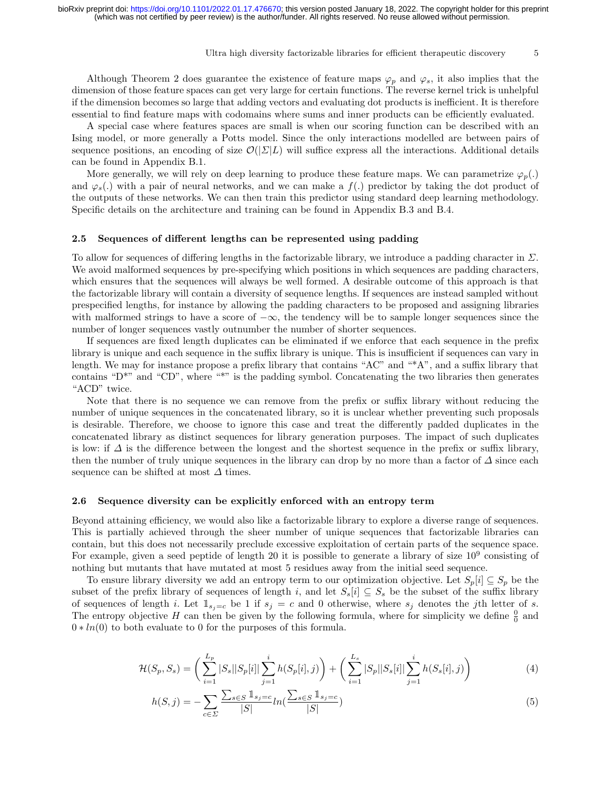#### Ultra high diversity factorizable libraries for efficient therapeutic discovery  $5$

Although Theorem 2 does guarantee the existence of feature maps  $\varphi_p$  and  $\varphi_s$ , it also implies that the dimension of those feature spaces can get very large for certain functions. The reverse kernel trick is unhelpful if the dimension becomes so large that adding vectors and evaluating dot products is inefficient. It is therefore essential to find feature maps with codomains where sums and inner products can be efficiently evaluated.

A special case where features spaces are small is when our scoring function can be described with an Ising model, or more generally a Potts model. Since the only interactions modelled are between pairs of sequence positions, an encoding of size  $\mathcal{O}(|\Sigma|L)$  will suffice express all the interactions. Additional details can be found in Appendix B.1.

More generally, we will rely on deep learning to produce these feature maps. We can parametrize  $\varphi_p(.)$ and  $\varphi_s(.)$  with a pair of neural networks, and we can make a  $f(.)$  predictor by taking the dot product of the outputs of these networks. We can then train this predictor using standard deep learning methodology. Specific details on the architecture and training can be found in Appendix B.3 and B.4.

#### 2.5 Sequences of different lengths can be represented using padding

To allow for sequences of differing lengths in the factorizable library, we introduce a padding character in Σ. We avoid malformed sequences by pre-specifying which positions in which sequences are padding characters, which ensures that the sequences will always be well formed. A desirable outcome of this approach is that the factorizable library will contain a diversity of sequence lengths. If sequences are instead sampled without prespecified lengths, for instance by allowing the padding characters to be proposed and assigning libraries with malformed strings to have a score of  $-\infty$ , the tendency will be to sample longer sequences since the number of longer sequences vastly outnumber the number of shorter sequences.

If sequences are fixed length duplicates can be eliminated if we enforce that each sequence in the prefix library is unique and each sequence in the suffix library is unique. This is insufficient if sequences can vary in length. We may for instance propose a prefix library that contains "AC" and "\*A", and a suffix library that contains "D\*" and "CD", where "\*" is the padding symbol. Concatenating the two libraries then generates "ACD" twice.

Note that there is no sequence we can remove from the prefix or suffix library without reducing the number of unique sequences in the concatenated library, so it is unclear whether preventing such proposals is desirable. Therefore, we choose to ignore this case and treat the differently padded duplicates in the concatenated library as distinct sequences for library generation purposes. The impact of such duplicates is low: if  $\Delta$  is the difference between the longest and the shortest sequence in the prefix or suffix library, then the number of truly unique sequences in the library can drop by no more than a factor of  $\Delta$  since each sequence can be shifted at most  $\Delta$  times.

#### 2.6 Sequence diversity can be explicitly enforced with an entropy term

Beyond attaining efficiency, we would also like a factorizable library to explore a diverse range of sequences. This is partially achieved through the sheer number of unique sequences that factorizable libraries can contain, but this does not necessarily preclude excessive exploitation of certain parts of the sequence space. For example, given a seed peptide of length 20 it is possible to generate a library of size  $10^9$  consisting of nothing but mutants that have mutated at most 5 residues away from the initial seed sequence.

To ensure library diversity we add an entropy term to our optimization objective. Let  $S_p[i] \subseteq S_p$  be the subset of the prefix library of sequences of length i, and let  $S_s[i] \subseteq S_s$  be the subset of the suffix library of sequences of length i. Let  $1_{s_i=c}$  be 1 if  $s_i = c$  and 0 otherwise, where  $s_i$  denotes the jth letter of s. The entropy objective H can then be given by the following formula, where for simplicity we define  $\frac{0}{0}$  and  $0 * ln(0)$  to both evaluate to 0 for the purposes of this formula.

$$
\mathcal{H}(S_p, S_s) = \left(\sum_{i=1}^{L_p} |S_s||S_p[i]| \sum_{j=1}^i h(S_p[i], j)\right) + \left(\sum_{i=1}^{L_s} |S_p||S_s[i]| \sum_{j=1}^i h(S_s[i], j)\right) \tag{4}
$$

$$
h(S,j) = -\sum_{c \in \Sigma} \frac{\sum_{s \in S} \mathbb{1}_{s_j = c}}{|S|} ln(\frac{\sum_{s \in S} \mathbb{1}_{s_j = c}}{|S|})
$$
(5)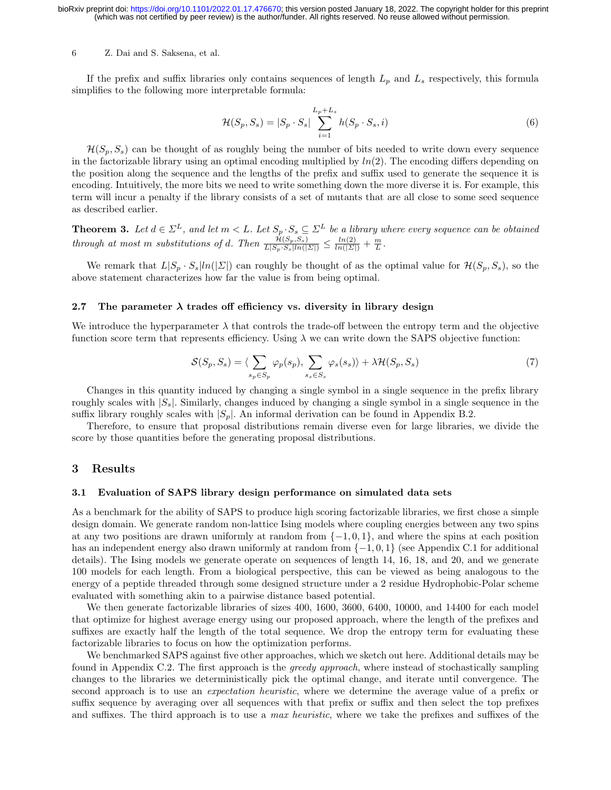If the prefix and suffix libraries only contains sequences of length  $L_p$  and  $L_s$  respectively, this formula simplifies to the following more interpretable formula:

$$
\mathcal{H}(S_p, S_s) = |S_p \cdot S_s| \sum_{i=1}^{L_p + L_s} h(S_p \cdot S_s, i)
$$
\n(6)

 $\mathcal{H}(S_p, S_s)$  can be thought of as roughly being the number of bits needed to write down every sequence in the factorizable library using an optimal encoding multiplied by  $ln(2)$ . The encoding differs depending on the position along the sequence and the lengths of the prefix and suffix used to generate the sequence it is encoding. Intuitively, the more bits we need to write something down the more diverse it is. For example, this term will incur a penalty if the library consists of a set of mutants that are all close to some seed sequence as described earlier.

**Theorem 3.** Let  $d \in \Sigma^L$ , and let  $m < L$ . Let  $S_p \cdot S_s \subseteq \Sigma^L$  be a library where every sequence can be obtained through at most m substitutions of d. Then  $\frac{\mathcal{H}(S_p, S_s)}{L|S_p \cdot S_s|ln(|\Sigma|)} \leq \frac{ln(2)}{ln(|\Sigma|)} + \frac{m}{L}$ .

We remark that  $L|S_p \cdot S_s|ln(|\Sigma|)$  can roughly be thought of as the optimal value for  $\mathcal{H}(S_p, S_s)$ , so the above statement characterizes how far the value is from being optimal.

#### 2.7 The parameter  $\lambda$  trades off efficiency vs. diversity in library design

We introduce the hyperparameter  $\lambda$  that controls the trade-off between the entropy term and the objective function score term that represents efficiency. Using  $\lambda$  we can write down the SAPS objective function:

$$
S(S_p, S_s) = \langle \sum_{s_p \in S_p} \varphi_p(s_p), \sum_{s_s \in S_s} \varphi_s(s_s) \rangle + \lambda \mathcal{H}(S_p, S_s)
$$
(7)

Changes in this quantity induced by changing a single symbol in a single sequence in the prefix library roughly scales with  $|S_s|$ . Similarly, changes induced by changing a single symbol in a single sequence in the suffix library roughly scales with  $|S_p|$ . An informal derivation can be found in Appendix B.2.

Therefore, to ensure that proposal distributions remain diverse even for large libraries, we divide the score by those quantities before the generating proposal distributions.

## 3 Results

### 3.1 Evaluation of SAPS library design performance on simulated data sets

As a benchmark for the ability of SAPS to produce high scoring factorizable libraries, we first chose a simple design domain. We generate random non-lattice Ising models where coupling energies between any two spins at any two positions are drawn uniformly at random from  $\{-1, 0, 1\}$ , and where the spins at each position has an independent energy also drawn uniformly at random from {−1, 0, 1} (see Appendix C.1 for additional details). The Ising models we generate operate on sequences of length 14, 16, 18, and 20, and we generate 100 models for each length. From a biological perspective, this can be viewed as being analogous to the energy of a peptide threaded through some designed structure under a 2 residue Hydrophobic-Polar scheme evaluated with something akin to a pairwise distance based potential.

We then generate factorizable libraries of sizes 400, 1600, 3600, 6400, 10000, and 14400 for each model that optimize for highest average energy using our proposed approach, where the length of the prefixes and suffixes are exactly half the length of the total sequence. We drop the entropy term for evaluating these factorizable libraries to focus on how the optimization performs.

We benchmarked SAPS against five other approaches, which we sketch out here. Additional details may be found in Appendix C.2. The first approach is the greedy approach, where instead of stochastically sampling changes to the libraries we deterministically pick the optimal change, and iterate until convergence. The second approach is to use an expectation heuristic, where we determine the average value of a prefix or suffix sequence by averaging over all sequences with that prefix or suffix and then select the top prefixes and suffixes. The third approach is to use a max heuristic, where we take the prefixes and suffixes of the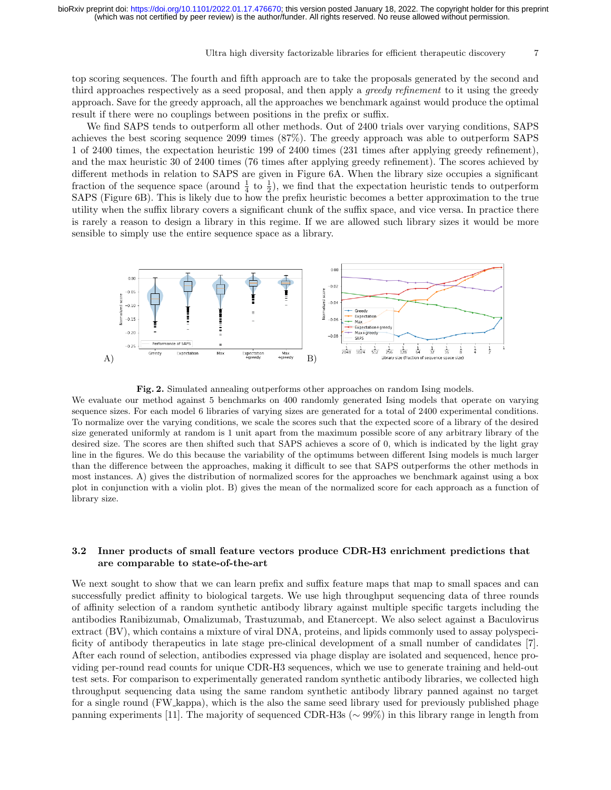#### Ultra high diversity factorizable libraries for efficient therapeutic discovery 7

top scoring sequences. The fourth and fifth approach are to take the proposals generated by the second and third approaches respectively as a seed proposal, and then apply a *greedy refinement* to it using the greedy approach. Save for the greedy approach, all the approaches we benchmark against would produce the optimal result if there were no couplings between positions in the prefix or suffix.

We find SAPS tends to outperform all other methods. Out of 2400 trials over varying conditions, SAPS achieves the best scoring sequence 2099 times (87%). The greedy approach was able to outperform SAPS 1 of 2400 times, the expectation heuristic 199 of 2400 times (231 times after applying greedy refinement), and the max heuristic 30 of 2400 times (76 times after applying greedy refinement). The scores achieved by different methods in relation to SAPS are given in Figure 6A. When the library size occupies a significant fraction of the sequence space (around  $\frac{1}{4}$  to  $\frac{1}{2}$ ), we find that the expectation heuristic tends to outperform SAPS (Figure 6B). This is likely due to how the prefix heuristic becomes a better approximation to the true utility when the suffix library covers a significant chunk of the suffix space, and vice versa. In practice there is rarely a reason to design a library in this regime. If we are allowed such library sizes it would be more sensible to simply use the entire sequence space as a library.



Fig. 2. Simulated annealing outperforms other approaches on random Ising models.

We evaluate our method against 5 benchmarks on 400 randomly generated Ising models that operate on varying sequence sizes. For each model 6 libraries of varying sizes are generated for a total of 2400 experimental conditions. To normalize over the varying conditions, we scale the scores such that the expected score of a library of the desired size generated uniformly at random is 1 unit apart from the maximum possible score of any arbitrary library of the desired size. The scores are then shifted such that SAPS achieves a score of 0, which is indicated by the light gray line in the figures. We do this because the variability of the optimums between different Ising models is much larger than the difference between the approaches, making it difficult to see that SAPS outperforms the other methods in most instances. A) gives the distribution of normalized scores for the approaches we benchmark against using a box plot in conjunction with a violin plot. B) gives the mean of the normalized score for each approach as a function of library size.

## 3.2 Inner products of small feature vectors produce CDR-H3 enrichment predictions that are comparable to state-of-the-art

We next sought to show that we can learn prefix and suffix feature maps that map to small spaces and can successfully predict affinity to biological targets. We use high throughput sequencing data of three rounds of affinity selection of a random synthetic antibody library against multiple specific targets including the antibodies Ranibizumab, Omalizumab, Trastuzumab, and Etanercept. We also select against a Baculovirus extract (BV), which contains a mixture of viral DNA, proteins, and lipids commonly used to assay polyspecificity of antibody therapeutics in late stage pre-clinical development of a small number of candidates [7]. After each round of selection, antibodies expressed via phage display are isolated and sequenced, hence providing per-round read counts for unique CDR-H3 sequences, which we use to generate training and held-out test sets. For comparison to experimentally generated random synthetic antibody libraries, we collected high throughput sequencing data using the same random synthetic antibody library panned against no target for a single round (FW kappa), which is the also the same seed library used for previously published phage panning experiments [11]. The majority of sequenced CDR-H3s (∼ 99%) in this library range in length from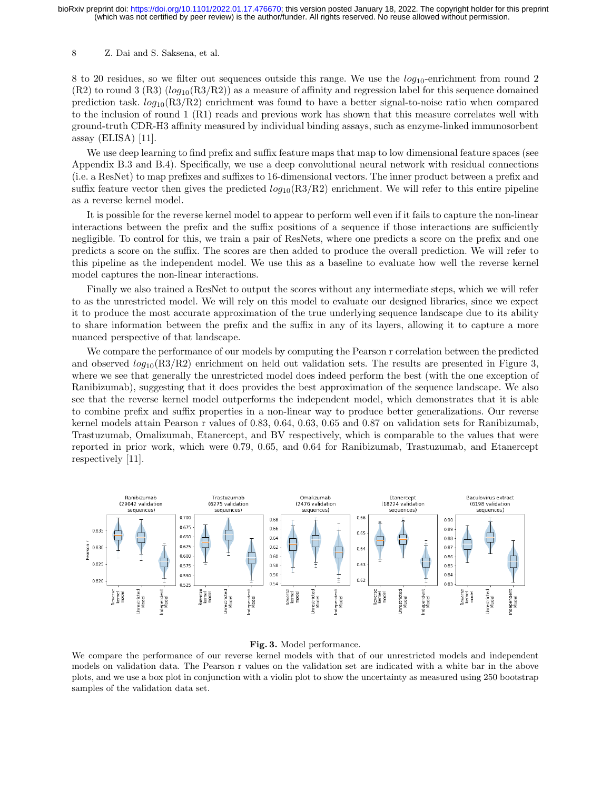8 to 20 residues, so we filter out sequences outside this range. We use the  $log_{10}$ -enrichment from round 2  $(R2)$  to round 3  $(R3)$  (log<sub>10</sub> $(R3/R2)$ ) as a measure of affinity and regression label for this sequence domained prediction task.  $log_{10}(R3/R2)$  enrichment was found to have a better signal-to-noise ratio when compared to the inclusion of round 1 (R1) reads and previous work has shown that this measure correlates well with ground-truth CDR-H3 affinity measured by individual binding assays, such as enzyme-linked immunosorbent assay (ELISA) [11].

We use deep learning to find prefix and suffix feature maps that map to low dimensional feature spaces (see Appendix B.3 and B.4). Specifically, we use a deep convolutional neural network with residual connections (i.e. a ResNet) to map prefixes and suffixes to 16-dimensional vectors. The inner product between a prefix and suffix feature vector then gives the predicted  $log_{10}(R3/R2)$  enrichment. We will refer to this entire pipeline as a reverse kernel model.

It is possible for the reverse kernel model to appear to perform well even if it fails to capture the non-linear interactions between the prefix and the suffix positions of a sequence if those interactions are sufficiently negligible. To control for this, we train a pair of ResNets, where one predicts a score on the prefix and one predicts a score on the suffix. The scores are then added to produce the overall prediction. We will refer to this pipeline as the independent model. We use this as a baseline to evaluate how well the reverse kernel model captures the non-linear interactions.

Finally we also trained a ResNet to output the scores without any intermediate steps, which we will refer to as the unrestricted model. We will rely on this model to evaluate our designed libraries, since we expect it to produce the most accurate approximation of the true underlying sequence landscape due to its ability to share information between the prefix and the suffix in any of its layers, allowing it to capture a more nuanced perspective of that landscape.

We compare the performance of our models by computing the Pearson r correlation between the predicted and observed  $log_{10}(R3/R2)$  enrichment on held out validation sets. The results are presented in Figure 3, where we see that generally the unrestricted model does indeed perform the best (with the one exception of Ranibizumab), suggesting that it does provides the best approximation of the sequence landscape. We also see that the reverse kernel model outperforms the independent model, which demonstrates that it is able to combine prefix and suffix properties in a non-linear way to produce better generalizations. Our reverse kernel models attain Pearson r values of 0.83, 0.64, 0.63, 0.65 and 0.87 on validation sets for Ranibizumab, Trastuzumab, Omalizumab, Etanercept, and BV respectively, which is comparable to the values that were reported in prior work, which were 0.79, 0.65, and 0.64 for Ranibizumab, Trastuzumab, and Etanercept respectively [11].



#### Fig. 3. Model performance.

We compare the performance of our reverse kernel models with that of our unrestricted models and independent models on validation data. The Pearson r values on the validation set are indicated with a white bar in the above plots, and we use a box plot in conjunction with a violin plot to show the uncertainty as measured using 250 bootstrap samples of the validation data set.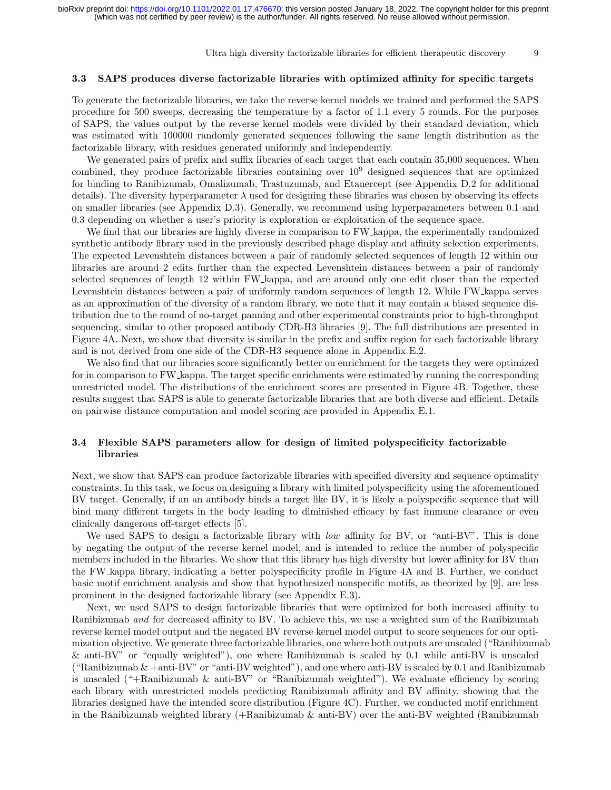Ultra high diversity factorizable libraries for efficient therapeutic discovery 9

#### 3.3 SAPS produces diverse factorizable libraries with optimized affinity for specific targets

To generate the factorizable libraries, we take the reverse kernel models we trained and performed the SAPS procedure for 500 sweeps, decreasing the temperature by a factor of 1.1 every 5 rounds. For the purposes of SAPS, the values output by the reverse kernel models were divided by their standard deviation, which was estimated with 100000 randomly generated sequences following the same length distribution as the factorizable library, with residues generated uniformly and independently.

We generated pairs of prefix and suffix libraries of each target that each contain 35,000 sequences. When combined, they produce factorizable libraries containing over  $10<sup>9</sup>$  designed sequences that are optimized for binding to Ranibizumab, Omalizumab, Trastuzumab, and Etanercept (see Appendix D.2 for additional details). The diversity hyperparameter  $\lambda$  used for designing these libraries was chosen by observing its effects on smaller libraries (see Appendix D.3). Generally, we recommend using hyperparameters between 0.1 and 0.3 depending on whether a user's priority is exploration or exploitation of the sequence space.

We find that our libraries are highly diverse in comparison to FW kappa, the experimentally randomized synthetic antibody library used in the previously described phage display and affinity selection experiments. The expected Levenshtein distances between a pair of randomly selected sequences of length 12 within our libraries are around 2 edits further than the expected Levenshtein distances between a pair of randomly selected sequences of length 12 within FW kappa, and are around only one edit closer than the expected Levenshtein distances between a pair of uniformly random sequences of length 12. While FW kappa serves as an approximation of the diversity of a random library, we note that it may contain a biased sequence distribution due to the round of no-target panning and other experimental constraints prior to high-throughput sequencing, similar to other proposed antibody CDR-H3 libraries [9]. The full distributions are presented in Figure 4A. Next, we show that diversity is similar in the prefix and suffix region for each factorizable library and is not derived from one side of the CDR-H3 sequence alone in Appendix E.2.

We also find that our libraries score significantly better on enrichment for the targets they were optimized for in comparison to FW kappa. The target specific enrichments were estimated by running the corresponding unrestricted model. The distributions of the enrichment scores are presented in Figure 4B. Together, these results suggest that SAPS is able to generate factorizable libraries that are both diverse and efficient. Details on pairwise distance computation and model scoring are provided in Appendix E.1.

## 3.4 Flexible SAPS parameters allow for design of limited polyspecificity factorizable libraries

Next, we show that SAPS can produce factorizable libraries with specified diversity and sequence optimality constraints. In this task, we focus on designing a library with limited polyspecificity using the aforementioned BV target. Generally, if an an antibody binds a target like BV, it is likely a polyspecific sequence that will bind many different targets in the body leading to diminished efficacy by fast immune clearance or even clinically dangerous off-target effects [5].

We used SAPS to design a factorizable library with *low* affinity for BV, or "anti-BV". This is done by negating the output of the reverse kernel model, and is intended to reduce the number of polyspecific members included in the libraries. We show that this library has high diversity but lower affinity for BV than the FW kappa library, indicating a better polyspecificity profile in Figure 4A and B. Further, we conduct basic motif enrichment analysis and show that hypothesized nonspecific motifs, as theorized by [9], are less prominent in the designed factorizable library (see Appendix E.3).

Next, we used SAPS to design factorizable libraries that were optimized for both increased affinity to Ranibizumab and for decreased affinity to BV. To achieve this, we use a weighted sum of the Ranibizumab reverse kernel model output and the negated BV reverse kernel model output to score sequences for our optimization objective. We generate three factorizable libraries, one where both outputs are unscaled ("Ranibizumab & anti-BV" or "equally weighted"), one where Ranibizumab is scaled by 0.1 while anti-BV is unscaled ("Ranibizumab  $&$  +anti-BV" or "anti-BV weighted"), and one where anti-BV is scaled by 0.1 and Ranibizumab is unscaled  $(*+$ Ranibizumab & anti-BV" or "Ranibizumab weighted"). We evaluate efficiency by scoring each library with unrestricted models predicting Ranibizumab affinity and BV affinity, showing that the libraries designed have the intended score distribution (Figure 4C). Further, we conducted motif enrichment in the Ranibizumab weighted library  $(+\text{Ranibizumab }\& \text{anti-BV})$  over the anti-BV weighted (Ranibizumab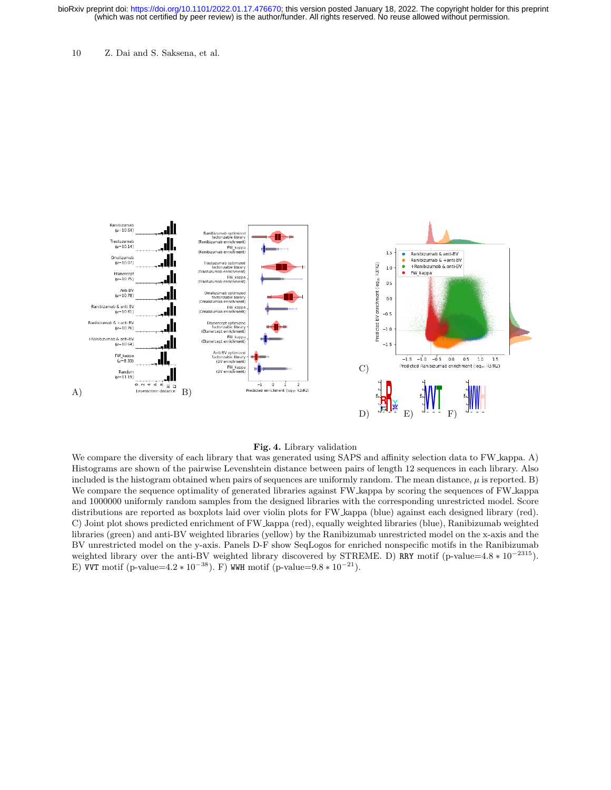10 Z. Dai and S. Saksena, et al.



#### Fig. 4. Library validation

We compare the diversity of each library that was generated using SAPS and affinity selection data to FW kappa. A) Histograms are shown of the pairwise Levenshtein distance between pairs of length 12 sequences in each library. Also included is the histogram obtained when pairs of sequences are uniformly random. The mean distance,  $\mu$  is reported. B) We compare the sequence optimality of generated libraries against FW kappa by scoring the sequences of FW kappa and 1000000 uniformly random samples from the designed libraries with the corresponding unrestricted model. Score distributions are reported as boxplots laid over violin plots for FW kappa (blue) against each designed library (red). C) Joint plot shows predicted enrichment of FW kappa (red), equally weighted libraries (blue), Ranibizumab weighted libraries (green) and anti-BV weighted libraries (yellow) by the Ranibizumab unrestricted model on the x-axis and the BV unrestricted model on the y-axis. Panels D-F show SeqLogos for enriched nonspecific motifs in the Ranibizumab weighted library over the anti-BV weighted library discovered by STREME. D) RRY motif (p-value=4.8  $* 10^{-2315}$ ). E) VVT motif (p-value= $4.2 * 10^{-38}$ ). F) WWH motif (p-value= $9.8 * 10^{-21}$ ).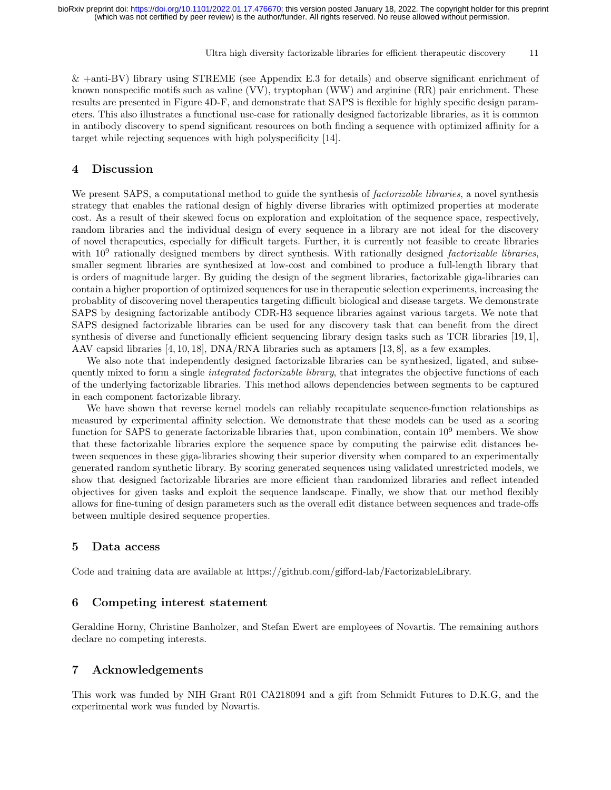Ultra high diversity factorizable libraries for efficient therapeutic discovery 11

& +anti-BV) library using STREME (see Appendix E.3 for details) and observe significant enrichment of known nonspecific motifs such as valine (VV), tryptophan (WW) and arginine (RR) pair enrichment. These results are presented in Figure 4D-F, and demonstrate that SAPS is flexible for highly specific design parameters. This also illustrates a functional use-case for rationally designed factorizable libraries, as it is common in antibody discovery to spend significant resources on both finding a sequence with optimized affinity for a target while rejecting sequences with high polyspecificity [14].

## 4 Discussion

We present SAPS, a computational method to guide the synthesis of *factorizable libraries*, a novel synthesis strategy that enables the rational design of highly diverse libraries with optimized properties at moderate cost. As a result of their skewed focus on exploration and exploitation of the sequence space, respectively, random libraries and the individual design of every sequence in a library are not ideal for the discovery of novel therapeutics, especially for difficult targets. Further, it is currently not feasible to create libraries with 10<sup>9</sup> rationally designed members by direct synthesis. With rationally designed *factorizable libraries*, smaller segment libraries are synthesized at low-cost and combined to produce a full-length library that is orders of magnitude larger. By guiding the design of the segment libraries, factorizable giga-libraries can contain a higher proportion of optimized sequences for use in therapeutic selection experiments, increasing the probablity of discovering novel therapeutics targeting difficult biological and disease targets. We demonstrate SAPS by designing factorizable antibody CDR-H3 sequence libraries against various targets. We note that SAPS designed factorizable libraries can be used for any discovery task that can benefit from the direct synthesis of diverse and functionally efficient sequencing library design tasks such as TCR libraries [19, 1], AAV capsid libraries [4, 10, 18], DNA/RNA libraries such as aptamers [13, 8], as a few examples.

We also note that independently designed factorizable libraries can be synthesized, ligated, and subsequently mixed to form a single *integrated factorizable library*, that integrates the objective functions of each of the underlying factorizable libraries. This method allows dependencies between segments to be captured in each component factorizable library.

We have shown that reverse kernel models can reliably recapitulate sequence-function relationships as measured by experimental affinity selection. We demonstrate that these models can be used as a scoring function for SAPS to generate factorizable libraries that, upon combination, contain  $10^9$  members. We show that these factorizable libraries explore the sequence space by computing the pairwise edit distances between sequences in these giga-libraries showing their superior diversity when compared to an experimentally generated random synthetic library. By scoring generated sequences using validated unrestricted models, we show that designed factorizable libraries are more efficient than randomized libraries and reflect intended objectives for given tasks and exploit the sequence landscape. Finally, we show that our method flexibly allows for fine-tuning of design parameters such as the overall edit distance between sequences and trade-offs between multiple desired sequence properties.

#### 5 Data access

Code and training data are available at https://github.com/gifford-lab/FactorizableLibrary.

## 6 Competing interest statement

Geraldine Horny, Christine Banholzer, and Stefan Ewert are employees of Novartis. The remaining authors declare no competing interests.

## 7 Acknowledgements

This work was funded by NIH Grant R01 CA218094 and a gift from Schmidt Futures to D.K.G, and the experimental work was funded by Novartis.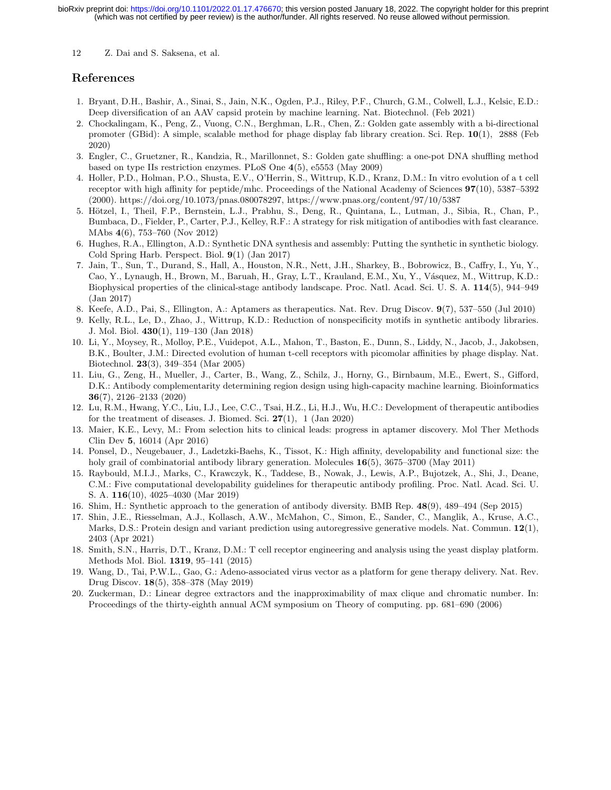## References

- 1. Bryant, D.H., Bashir, A., Sinai, S., Jain, N.K., Ogden, P.J., Riley, P.F., Church, G.M., Colwell, L.J., Kelsic, E.D.: Deep diversification of an AAV capsid protein by machine learning. Nat. Biotechnol. (Feb 2021)
- 2. Chockalingam, K., Peng, Z., Vuong, C.N., Berghman, L.R., Chen, Z.: Golden gate assembly with a bi-directional promoter (GBid): A simple, scalable method for phage display fab library creation. Sci. Rep. 10(1), 2888 (Feb 2020)
- 3. Engler, C., Gruetzner, R., Kandzia, R., Marillonnet, S.: Golden gate shuffling: a one-pot DNA shuffling method based on type IIs restriction enzymes. PLoS One 4(5), e5553 (May 2009)
- 4. Holler, P.D., Holman, P.O., Shusta, E.V., O'Herrin, S., Wittrup, K.D., Kranz, D.M.: In vitro evolution of a t cell receptor with high affinity for peptide/mhc. Proceedings of the National Academy of Sciences 97(10), 5387–5392 (2000). https://doi.org/10.1073/pnas.080078297, https://www.pnas.org/content/97/10/5387
- 5. Hötzel, I., Theil, F.P., Bernstein, L.J., Prabhu, S., Deng, R., Quintana, L., Lutman, J., Sibia, R., Chan, P., Bumbaca, D., Fielder, P., Carter, P.J., Kelley, R.F.: A strategy for risk mitigation of antibodies with fast clearance. MAbs 4(6), 753–760 (Nov 2012)
- 6. Hughes, R.A., Ellington, A.D.: Synthetic DNA synthesis and assembly: Putting the synthetic in synthetic biology. Cold Spring Harb. Perspect. Biol. 9(1) (Jan 2017)
- 7. Jain, T., Sun, T., Durand, S., Hall, A., Houston, N.R., Nett, J.H., Sharkey, B., Bobrowicz, B., Caffry, I., Yu, Y., Cao, Y., Lynaugh, H., Brown, M., Baruah, H., Gray, L.T., Krauland, E.M., Xu, Y., Vásquez, M., Wittrup, K.D.: Biophysical properties of the clinical-stage antibody landscape. Proc. Natl. Acad. Sci. U. S. A. 114(5), 944–949 (Jan 2017)
- 8. Keefe, A.D., Pai, S., Ellington, A.: Aptamers as therapeutics. Nat. Rev. Drug Discov. 9(7), 537–550 (Jul 2010)
- 9. Kelly, R.L., Le, D., Zhao, J., Wittrup, K.D.: Reduction of nonspecificity motifs in synthetic antibody libraries. J. Mol. Biol. 430(1), 119–130 (Jan 2018)
- 10. Li, Y., Moysey, R., Molloy, P.E., Vuidepot, A.L., Mahon, T., Baston, E., Dunn, S., Liddy, N., Jacob, J., Jakobsen, B.K., Boulter, J.M.: Directed evolution of human t-cell receptors with picomolar affinities by phage display. Nat. Biotechnol. 23(3), 349–354 (Mar 2005)
- 11. Liu, G., Zeng, H., Mueller, J., Carter, B., Wang, Z., Schilz, J., Horny, G., Birnbaum, M.E., Ewert, S., Gifford, D.K.: Antibody complementarity determining region design using high-capacity machine learning. Bioinformatics 36(7), 2126–2133 (2020)
- 12. Lu, R.M., Hwang, Y.C., Liu, I.J., Lee, C.C., Tsai, H.Z., Li, H.J., Wu, H.C.: Development of therapeutic antibodies for the treatment of diseases. J. Biomed. Sci.  $27(1)$ , 1 (Jan 2020)
- 13. Maier, K.E., Levy, M.: From selection hits to clinical leads: progress in aptamer discovery. Mol Ther Methods Clin Dev 5, 16014 (Apr 2016)
- 14. Ponsel, D., Neugebauer, J., Ladetzki-Baehs, K., Tissot, K.: High affinity, developability and functional size: the holy grail of combinatorial antibody library generation. Molecules **16**(5), 3675–3700 (May 2011)
- 15. Raybould, M.I.J., Marks, C., Krawczyk, K., Taddese, B., Nowak, J., Lewis, A.P., Bujotzek, A., Shi, J., Deane, C.M.: Five computational developability guidelines for therapeutic antibody profiling. Proc. Natl. Acad. Sci. U. S. A. 116(10), 4025–4030 (Mar 2019)
- 16. Shim, H.: Synthetic approach to the generation of antibody diversity. BMB Rep. 48(9), 489–494 (Sep 2015)
- 17. Shin, J.E., Riesselman, A.J., Kollasch, A.W., McMahon, C., Simon, E., Sander, C., Manglik, A., Kruse, A.C., Marks, D.S.: Protein design and variant prediction using autoregressive generative models. Nat. Commun. 12(1), 2403 (Apr 2021)
- 18. Smith, S.N., Harris, D.T., Kranz, D.M.: T cell receptor engineering and analysis using the yeast display platform. Methods Mol. Biol. 1319, 95–141 (2015)
- 19. Wang, D., Tai, P.W.L., Gao, G.: Adeno-associated virus vector as a platform for gene therapy delivery. Nat. Rev. Drug Discov. 18(5), 358–378 (May 2019)
- 20. Zuckerman, D.: Linear degree extractors and the inapproximability of max clique and chromatic number. In: Proceedings of the thirty-eighth annual ACM symposium on Theory of computing. pp. 681–690 (2006)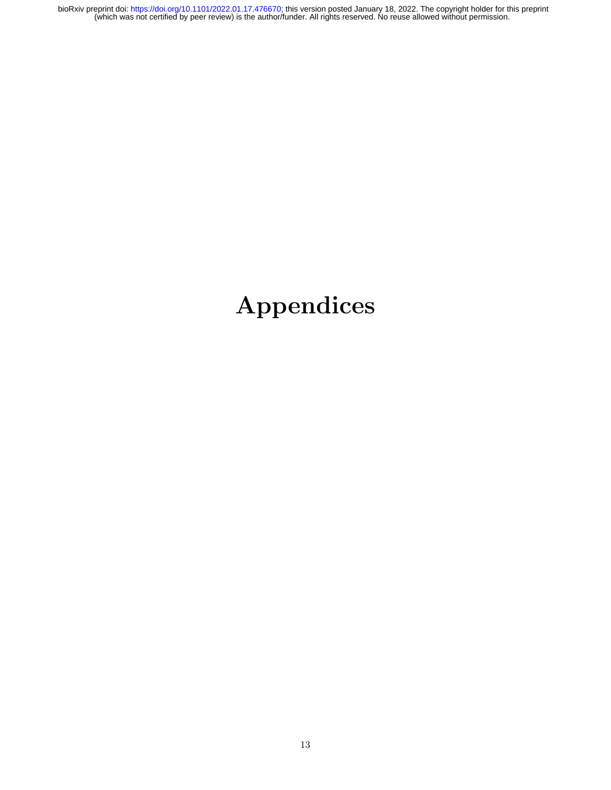# Appendices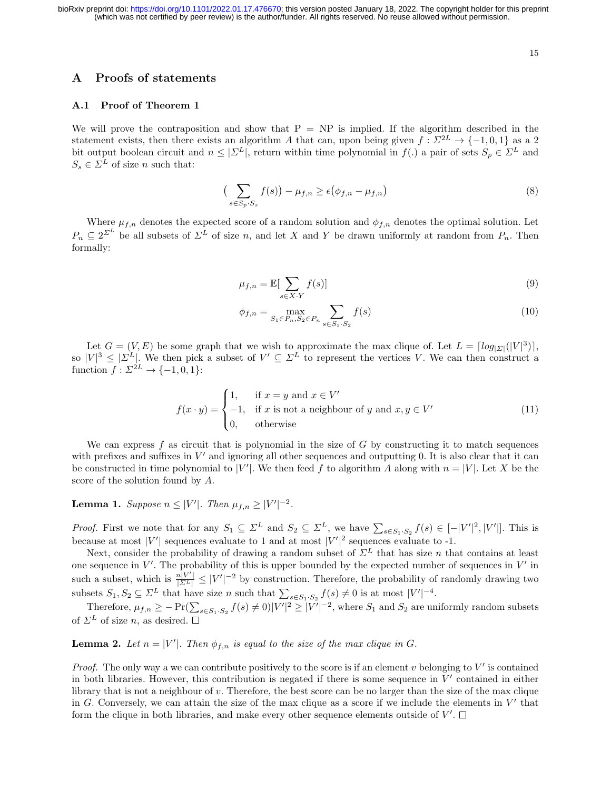## A Proofs of statements

## A.1 Proof of Theorem 1

We will prove the contraposition and show that  $P = NP$  is implied. If the algorithm described in the statement exists, then there exists an algorithm A that can, upon being given  $f: \Sigma^{2L} \to \{-1,0,1\}$  as a 2 bit output boolean circuit and  $n \leq |\mathcal{\Sigma}^L|$ , return within time polynomial in  $f(.)$  a pair of sets  $S_p \in \mathcal{\Sigma}^L$  and  $S_s \in \Sigma^L$  of size *n* such that:

$$
\left(\sum_{s \in S_p \cdot S_s} f(s)\right) - \mu_{f,n} \ge \epsilon \left(\phi_{f,n} - \mu_{f,n}\right) \tag{8}
$$

Where  $\mu_{f,n}$  denotes the expected score of a random solution and  $\phi_{f,n}$  denotes the optimal solution. Let  $P_n \subseteq 2^{\Sigma^L}$  be all subsets of  $\Sigma^L$  of size n, and let X and Y be drawn uniformly at random from  $P_n$ . Then formally:

$$
\mu_{f,n} = \mathbb{E}[\sum_{s \in X \cdot Y} f(s)] \tag{9}
$$

$$
\phi_{f,n} = \max_{S_1 \in P_n, S_2 \in P_n} \sum_{s \in S_1 \cdot S_2} f(s) \tag{10}
$$

Let  $G = (V, E)$  be some graph that we wish to approximate the max clique of. Let  $L = \lceil log_{\vert \Sigma \vert} (|V|^3) \rceil$ , so  $|V|^3 \leq |\Sigma^L|$ . We then pick a subset of  $V' \subseteq \Sigma^L$  to represent the vertices V. We can then construct a function  $f: \Sigma^{2L} \to \{-1,0,1\}$ :

$$
f(x \cdot y) = \begin{cases} 1, & \text{if } x = y \text{ and } x \in V' \\ -1, & \text{if } x \text{ is not a neighbour of } y \text{ and } x, y \in V' \\ 0, & \text{otherwise} \end{cases} \tag{11}
$$

We can express f as circuit that is polynomial in the size of  $G$  by constructing it to match sequences with prefixes and suffixes in  $V'$  and ignoring all other sequences and outputting 0. It is also clear that it can be constructed in time polynomial to |V'|. We then feed f to algorithm A along with  $n = |V|$ . Let X be the score of the solution found by A.

**Lemma 1.** Suppose  $n \leq |V'|$ . Then  $\mu_{f,n} \geq |V'|^{-2}$ .

*Proof.* First we note that for any  $S_1 \subseteq \Sigma^L$  and  $S_2 \subseteq \Sigma^L$ , we have  $\sum_{s \in S_1 \cdot S_2} f(s) \in [-|V'|^2, |V'|]$ . This is because at most |V'| sequences evaluate to 1 and at most  $|V'|^2$  sequences evaluate to -1.

Next, consider the probability of drawing a random subset of  $\Sigma^L$  that has size n that contains at least one sequence in  $V'$ . The probability of this is upper bounded by the expected number of sequences in  $V'$  in such a subset, which is  $\frac{n|V'|}{\vert\Sigma^L\vert} \leq |V'|^{-2}$  by construction. Therefore, the probability of randomly drawing two subsets  $S_1, S_2 \subseteq \Sigma^L$  that have size n such that  $\sum_{s \in S_1 \cdot S_2} f(s) \neq 0$  is at most  $|V'|^{-4}$ .

Therefore,  $\mu_{f,n} \ge -\Pr(\sum_{s \in S_1 \cdot S_2} f(s) \ne 0) |V'|^2 \ge |V'|^{-2}$ , where  $S_1$  and  $S_2$  are uniformly random subsets of  $\Sigma^L$  of size n, as desired.  $\square$ 

**Lemma 2.** Let  $n = |V'|$ . Then  $\phi_{f,n}$  is equal to the size of the max clique in G.

*Proof.* The only way a we can contribute positively to the score is if an element  $v$  belonging to  $V'$  is contained in both libraries. However, this contribution is negated if there is some sequence in  $V'$  contained in either library that is not a neighbour of v. Therefore, the best score can be no larger than the size of the max clique in G. Conversely, we can attain the size of the max clique as a score if we include the elements in  $V'$  that form the clique in both libraries, and make every other sequence elements outside of V'.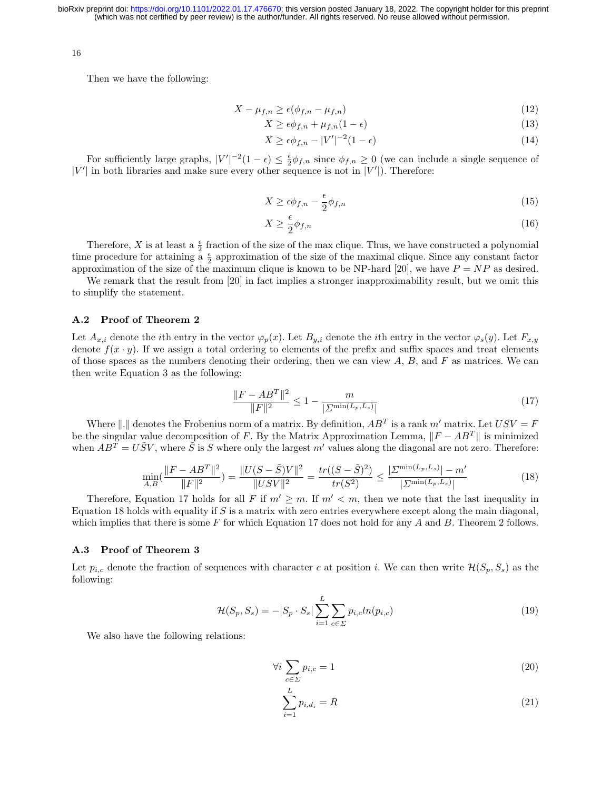16

Then we have the following:

$$
X - \mu_{f,n} \ge \epsilon(\phi_{f,n} - \mu_{f,n})\tag{12}
$$

$$
X \ge \epsilon \phi_{f,n} + \mu_{f,n} (1 - \epsilon) \tag{13}
$$

$$
X \ge \epsilon \phi_{f,n} - |V'|^{-2} (1 - \epsilon) \tag{14}
$$

For sufficiently large graphs,  $|V'|^{-2}(1-\epsilon) \leq \frac{\epsilon}{2} \phi_{f,n}$  since  $\phi_{f,n} \geq 0$  (we can include a single sequence of  $|V'|$  in both libraries and make sure every other sequence is not in  $|V'|$ ). Therefore:

$$
X \ge \epsilon \phi_{f,n} - \frac{\epsilon}{2} \phi_{f,n} \tag{15}
$$

$$
X \ge \frac{\epsilon}{2} \phi_{f,n} \tag{16}
$$

Therefore, X is at least a  $\frac{e}{2}$  fraction of the size of the max clique. Thus, we have constructed a polynomial time procedure for attaining  $\frac{\epsilon}{2}$  approximation of the size of the maximal clique. Since any constant factor approximation of the size of the maximum clique is known to be NP-hard [20], we have  $P = NP$  as desired.

We remark that the result from [20] in fact implies a stronger inapproximability result, but we omit this to simplify the statement.

#### A.2 Proof of Theorem 2

Let  $A_{x,i}$  denote the *i*th entry in the vector  $\varphi_p(x)$ . Let  $B_{y,i}$  denote the *i*th entry in the vector  $\varphi_s(y)$ . Let  $F_{x,y}$ denote  $f(x \cdot y)$ . If we assign a total ordering to elements of the prefix and suffix spaces and treat elements of those spaces as the numbers denoting their ordering, then we can view  $A, B$ , and  $F$  as matrices. We can then write Equation 3 as the following:

$$
\frac{\|F - AB^T\|^2}{\|F\|^2} \le 1 - \frac{m}{|\sum_{r} \min(L_p, L_s)|} \tag{17}
$$

Where  $\Vert . \Vert$  denotes the Frobenius norm of a matrix. By definition,  $AB^T$  is a rank m' matrix. Let  $USV = F$ be the singular value decomposition of F. By the Matrix Approximation Lemma,  $||F - AB^T||$  is minimized when  $AB^T = U\tilde{S}V$ , where  $\tilde{S}$  is S where only the largest m' values along the diagonal are not zero. Therefore:

$$
\min_{A,B}(\frac{\|F - AB^T\|^2}{\|F\|^2}) = \frac{\|U(S - \tilde{S})V\|^2}{\|USV\|^2} = \frac{tr((S - \tilde{S})^2)}{tr(S^2)} \le \frac{|\Sigma^{\min(L_p, L_s)}| - m'}{|\Sigma^{\min(L_p, L_s)}|} \tag{18}
$$

Therefore, Equation 17 holds for all F if  $m' \ge m$ . If  $m' < m$ , then we note that the last inequality in Equation 18 holds with equality if  $S$  is a matrix with zero entries everywhere except along the main diagonal, which implies that there is some F for which Equation 17 does not hold for any A and B. Theorem 2 follows.

#### A.3 Proof of Theorem 3

Let  $p_{i,c}$  denote the fraction of sequences with character c at position i. We can then write  $\mathcal{H}(S_p, S_s)$  as the following:

$$
\mathcal{H}(S_p, S_s) = -|S_p \cdot S_s| \sum_{i=1}^{L} \sum_{c \in \Sigma} p_{i,c} ln(p_{i,c})
$$
\n(19)

We also have the following relations:

$$
\forall i \sum_{c \in \Sigma} p_{i,c} = 1 \tag{20}
$$

$$
\sum_{i=1}^{L} p_{i,d_i} = R
$$
\n(21)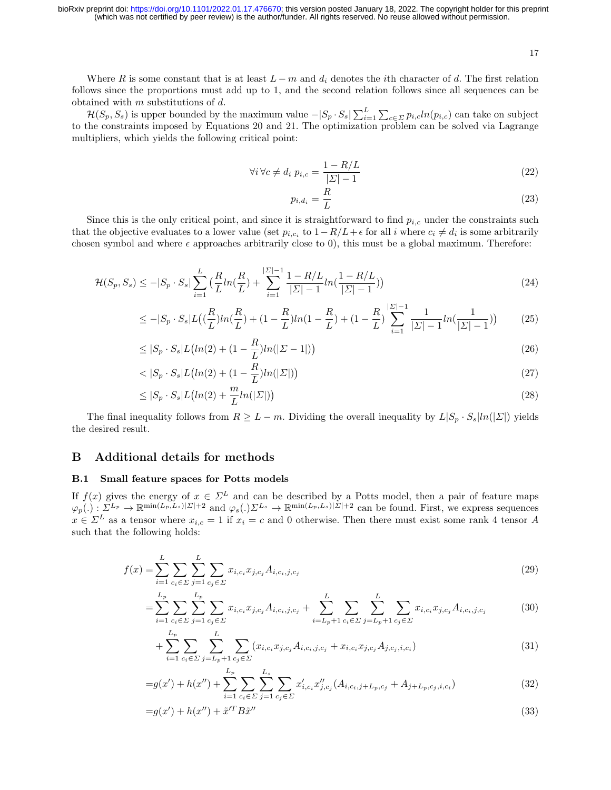17

Where R is some constant that is at least  $L - m$  and  $d_i$  denotes the *i*th character of d. The first relation follows since the proportions must add up to 1, and the second relation follows since all sequences can be obtained with  $m$  substitutions of  $d$ .

 $\mathcal{H}(S_p, S_s)$  is upper bounded by the maximum value  $-|S_p \cdot S_s| \sum_{i=1}^{L} \sum_{c \in \Sigma} p_{i,c} ln(p_{i,c})$  can take on subject to the constraints imposed by Equations 20 and 21. The optimization problem can be solved via Lagrange multipliers, which yields the following critical point:

$$
\forall i \,\forall c \neq d_i \,\, p_{i,c} = \frac{1 - R/L}{|\Sigma| - 1} \tag{22}
$$

$$
p_{i,d_i} = \frac{R}{L} \tag{23}
$$

Since this is the only critical point, and since it is straightforward to find  $p_{i,c}$  under the constraints such that the objective evaluates to a lower value (set  $p_{i,c_i}$  to  $1-R/L+\epsilon$  for all i where  $c_i \neq d_i$  is some arbitrarily chosen symbol and where  $\epsilon$  approaches arbitrarily close to 0), this must be a global maximum. Therefore:

$$
\mathcal{H}(S_p, S_s) \le -|S_p \cdot S_s| \sum_{i=1}^L \left( \frac{R}{L} ln(\frac{R}{L}) + \sum_{i=1}^{|E|-1} \frac{1 - R/L}{|E|-1} ln(\frac{1 - R/L}{|E|-1}) \right) \tag{24}
$$

$$
\leq -|S_p \cdot S_s| L\left(\left(\frac{R}{L}\right)ln\left(\frac{R}{L}\right) + (1 - \frac{R}{L})ln(1 - \frac{R}{L}) + (1 - \frac{R}{L})\sum_{i=1}^{\left|\Sigma\right|-1} \frac{1}{\left|\Sigma\right|-1} ln\left(\frac{1}{\left|\Sigma\right|-1}\right) \right) \tag{25}
$$

$$
\leq |S_p \cdot S_s| L \big( \ln(2) + (1 - \frac{R}{L}) \ln(|\Sigma - 1|) \big) \tag{26}
$$

$$
\langle S_p \cdot S_s | L \big( ln(2) + (1 - \frac{R}{L}) ln(|\Sigma|) \big) \tag{27}
$$

$$
\leq |S_p \cdot S_s| L\big(\ln(2) + \frac{m}{L} \ln(|\Sigma|)\big) \tag{28}
$$

The final inequality follows from  $R \geq L - m$ . Dividing the overall inequality by  $L|S_p \cdot S_s|ln(|\Sigma|)$  yields the desired result.

## B Additional details for methods

## B.1 Small feature spaces for Potts models

If  $f(x)$  gives the energy of  $x \in \Sigma^L$  and can be described by a Potts model, then a pair of feature maps  $\varphi_p(.) : \Sigma^{L_p} \to \mathbb{R}^{\min(L_p, L_s)|\Sigma|+2}$  and  $\varphi_s(.)\Sigma^{L_s} \to \mathbb{R}^{\min(L_p, L_s)|\Sigma|+2}$  can be found. First, we express sequences  $x \in \Sigma^L$  as a tensor where  $x_{i,c} = 1$  if  $x_i = c$  and 0 otherwise. Then there must exist some rank 4 tensor A such that the following holds:

$$
f(x) = \sum_{i=1}^{L} \sum_{c_i \in \Sigma} \sum_{j=1}^{L} \sum_{c_j \in \Sigma} x_{i,c_i} x_{j,c_j} A_{i,c_i,j,c_j}
$$
(29)

$$
= \sum_{i=1}^{L_p} \sum_{c_i \in \Sigma} \sum_{j=1}^{L_p} \sum_{c_j \in \Sigma} x_{i,c_i} x_{j,c_j} A_{i,c_i,j,c_j} + \sum_{i=L_p+1}^{L} \sum_{c_i \in \Sigma} \sum_{j=L_p+1}^{L} \sum_{c_j \in \Sigma} x_{i,c_i} x_{j,c_j} A_{i,c_i,j,c_j}
$$
(30)

$$
+\sum_{i=1}^{L_p} \sum_{c_i \in \Sigma} \sum_{j=L_p+1}^{L} \sum_{c_j \in \Sigma} (x_{i,c_i} x_{j,c_j} A_{i,c_i,j,c_j} + x_{i,c_i} x_{j,c_j} A_{j,c_j,i,c_i}) \tag{31}
$$

$$
=g(x')+h(x'')+\sum_{i=1}^{L_p}\sum_{c_i\in\Sigma}\sum_{j=1}^{L_s}\sum_{c_j\in\Sigma}x'_{i,c_i}x''_{j,c_j}(A_{i,c_i,j+L_p,c_j}+A_{j+L_p,c_j,i,c_i})
$$
(32)

$$
=g(x') + h(x'') + \tilde{x}'^T B \tilde{x}'' \tag{33}
$$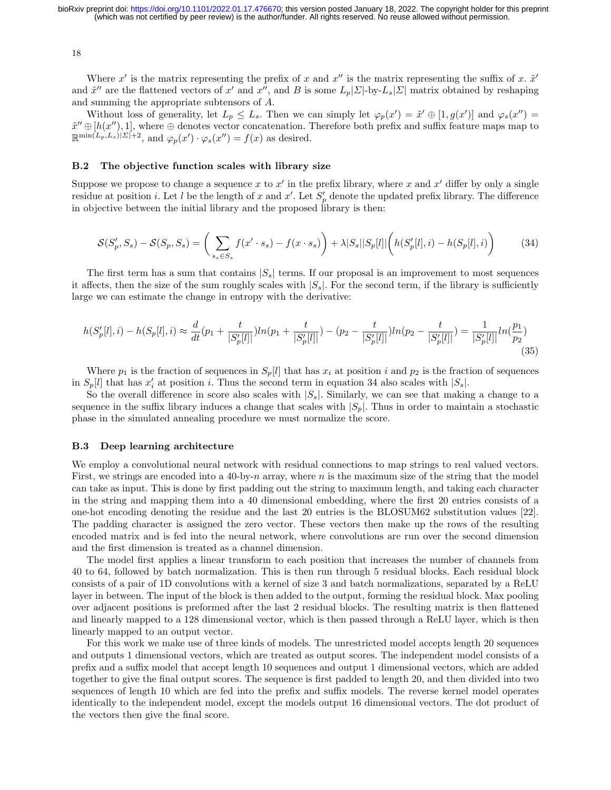18

Where  $x'$  is the matrix representing the prefix of x and  $x''$  is the matrix representing the suffix of x.  $\tilde{x}'$ and  $\tilde{x}''$  are the flattened vectors of x' and x'', and B is some  $L_p[\Sigma]$ -by- $L_s[\Sigma]$  matrix obtained by reshaping and summing the appropriate subtensors of A.

Without loss of generality, let  $L_p \leq L_s$ . Then we can simply let  $\varphi_p(x') = \tilde{x}' \oplus [1, g(x')]$  and  $\varphi_s(x'') =$  $\tilde{x}'' \oplus [h(x''), 1]$ , where  $\oplus$  denotes vector concatenation. Therefore both prefix and suffix feature maps map to  $\mathbb{R}^{\min(L_p, L_s)|\Sigma|+2}$ , and  $\varphi_p(x') \cdot \varphi_s(x'') = f(x)$  as desired.

#### B.2 The objective function scales with library size

Suppose we propose to change a sequence x to  $x'$  in the prefix library, where x and  $x'$  differ by only a single residue at position *i*. Let *l* be the length of x and x'. Let  $S_p'$  denote the updated prefix library. The difference in objective between the initial library and the proposed library is then:

$$
\mathcal{S}(S'_p, S_s) - \mathcal{S}(S_p, S_s) = \left(\sum_{s_s \in S_s} f(x' \cdot s_s) - f(x \cdot s_s)\right) + \lambda |S_s||S_p[l]|\left(h(S'_p[l], i) - h(S_p[l], i)\right) \tag{34}
$$

The first term has a sum that contains  $|S_{s}|$  terms. If our proposal is an improvement to most sequences it affects, then the size of the sum roughly scales with  $|S_s|$ . For the second term, if the library is sufficiently large we can estimate the change in entropy with the derivative:

$$
h(S'_p[l],i) - h(S_p[l],i) \approx \frac{d}{dt}(p_1 + \frac{t}{|S'_p[l]|})ln(p_1 + \frac{t}{|S'_p[l]|}) - (p_2 - \frac{t}{|S'_p[l]|})ln(p_2 - \frac{t}{|S'_p[l]|}) = \frac{1}{|S'_p[l]|}ln(\frac{p_1}{p_2})
$$
\n(35)

Where  $p_1$  is the fraction of sequences in  $S_p[l]$  that has  $x_i$  at position i and  $p_2$  is the fraction of sequences in  $S_p[l]$  that has  $x'_i$  at position i. Thus the second term in equation 34 also scales with  $|S_s|$ .

So the overall difference in score also scales with  $|S_s|$ . Similarly, we can see that making a change to a sequence in the suffix library induces a change that scales with  $|S_p|$ . Thus in order to maintain a stochastic phase in the simulated annealing procedure we must normalize the score.

#### B.3 Deep learning architecture

We employ a convolutional neural network with residual connections to map strings to real valued vectors. First, we strings are encoded into a 40-by-n array, where n is the maximum size of the string that the model can take as input. This is done by first padding out the string to maximum length, and taking each character in the string and mapping them into a 40 dimensional embedding, where the first 20 entries consists of a one-hot encoding denoting the residue and the last 20 entries is the BLOSUM62 substitution values [22]. The padding character is assigned the zero vector. These vectors then make up the rows of the resulting encoded matrix and is fed into the neural network, where convolutions are run over the second dimension and the first dimension is treated as a channel dimension.

The model first applies a linear transform to each position that increases the number of channels from 40 to 64, followed by batch normalization. This is then run through 5 residual blocks. Each residual block consists of a pair of 1D convolutions with a kernel of size 3 and batch normalizations, separated by a ReLU layer in between. The input of the block is then added to the output, forming the residual block. Max pooling over adjacent positions is preformed after the last 2 residual blocks. The resulting matrix is then flattened and linearly mapped to a 128 dimensional vector, which is then passed through a ReLU layer, which is then linearly mapped to an output vector.

For this work we make use of three kinds of models. The unrestricted model accepts length 20 sequences and outputs 1 dimensional vectors, which are treated as output scores. The independent model consists of a prefix and a suffix model that accept length 10 sequences and output 1 dimensional vectors, which are added together to give the final output scores. The sequence is first padded to length 20, and then divided into two sequences of length 10 which are fed into the prefix and suffix models. The reverse kernel model operates identically to the independent model, except the models output 16 dimensional vectors. The dot product of the vectors then give the final score.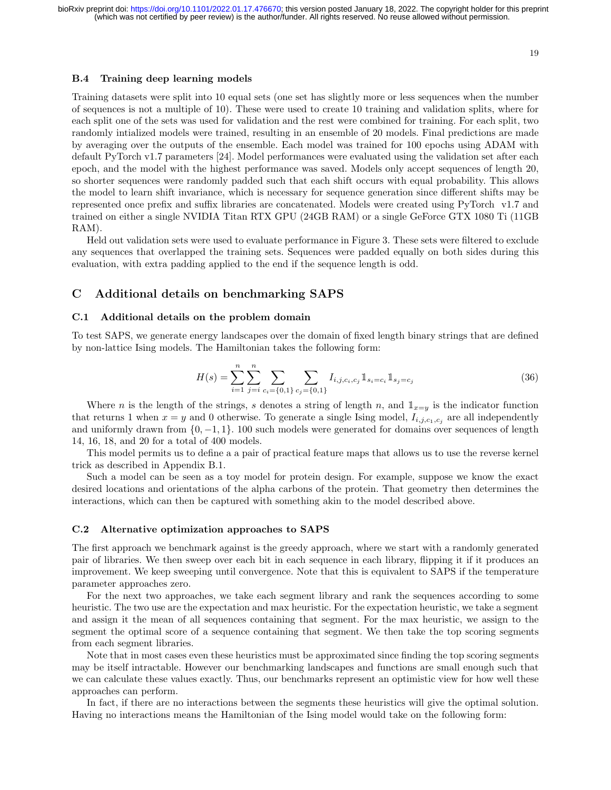#### B.4 Training deep learning models

Training datasets were split into 10 equal sets (one set has slightly more or less sequences when the number of sequences is not a multiple of 10). These were used to create 10 training and validation splits, where for each split one of the sets was used for validation and the rest were combined for training. For each split, two randomly intialized models were trained, resulting in an ensemble of 20 models. Final predictions are made by averaging over the outputs of the ensemble. Each model was trained for 100 epochs using ADAM with default PyTorch v1.7 parameters [24]. Model performances were evaluated using the validation set after each epoch, and the model with the highest performance was saved. Models only accept sequences of length 20, so shorter sequences were randomly padded such that each shift occurs with equal probability. This allows the model to learn shift invariance, which is necessary for sequence generation since different shifts may be represented once prefix and suffix libraries are concatenated. Models were created using PyTorch v1.7 and trained on either a single NVIDIA Titan RTX GPU (24GB RAM) or a single GeForce GTX 1080 Ti (11GB RAM).

Held out validation sets were used to evaluate performance in Figure 3. These sets were filtered to exclude any sequences that overlapped the training sets. Sequences were padded equally on both sides during this evaluation, with extra padding applied to the end if the sequence length is odd.

## C Additional details on benchmarking SAPS

### C.1 Additional details on the problem domain

To test SAPS, we generate energy landscapes over the domain of fixed length binary strings that are defined by non-lattice Ising models. The Hamiltonian takes the following form:

$$
H(s) = \sum_{i=1}^{n} \sum_{j=i}^{n} \sum_{c_i = \{0,1\}} \sum_{c_j = \{0,1\}} I_{i,j,c_i,c_j} \mathbb{1}_{s_i = c_i} \mathbb{1}_{s_j = c_j}
$$
(36)

Where *n* is the length of the strings, *s* denotes a string of length *n*, and  $\mathbb{1}_{x=y}$  is the indicator function that returns 1 when  $x = y$  and 0 otherwise. To generate a single Ising model,  $I_{i,j,c_1,c_j}$  are all independently and uniformly drawn from  $\{0, -1, 1\}$ . 100 such models were generated for domains over sequences of length 14, 16, 18, and 20 for a total of 400 models.

This model permits us to define a a pair of practical feature maps that allows us to use the reverse kernel trick as described in Appendix B.1.

Such a model can be seen as a toy model for protein design. For example, suppose we know the exact desired locations and orientations of the alpha carbons of the protein. That geometry then determines the interactions, which can then be captured with something akin to the model described above.

#### C.2 Alternative optimization approaches to SAPS

The first approach we benchmark against is the greedy approach, where we start with a randomly generated pair of libraries. We then sweep over each bit in each sequence in each library, flipping it if it produces an improvement. We keep sweeping until convergence. Note that this is equivalent to SAPS if the temperature parameter approaches zero.

For the next two approaches, we take each segment library and rank the sequences according to some heuristic. The two use are the expectation and max heuristic. For the expectation heuristic, we take a segment and assign it the mean of all sequences containing that segment. For the max heuristic, we assign to the segment the optimal score of a sequence containing that segment. We then take the top scoring segments from each segment libraries.

Note that in most cases even these heuristics must be approximated since finding the top scoring segments may be itself intractable. However our benchmarking landscapes and functions are small enough such that we can calculate these values exactly. Thus, our benchmarks represent an optimistic view for how well these approaches can perform.

In fact, if there are no interactions between the segments these heuristics will give the optimal solution. Having no interactions means the Hamiltonian of the Ising model would take on the following form: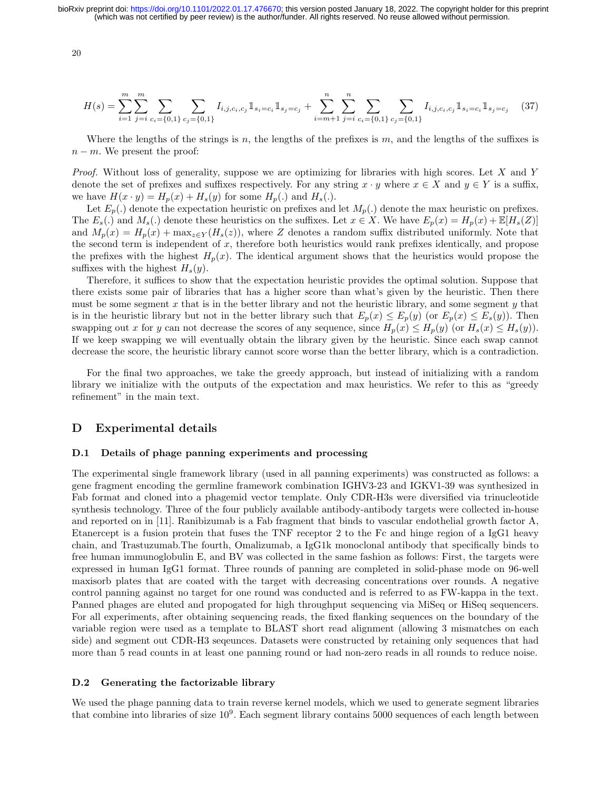20

$$
H(s) = \sum_{i=1}^{m} \sum_{j=i}^{m} \sum_{c_i = \{0,1\}} \sum_{c_j = \{0,1\}} I_{i,j,c_i,c_j} \mathbb{1}_{s_i = c_i} \mathbb{1}_{s_j = c_j} + \sum_{i=m+1}^{n} \sum_{j=i}^{n} \sum_{c_i = \{0,1\}} \sum_{c_j = \{0,1\}} I_{i,j,c_i,c_j} \mathbb{1}_{s_i = c_i} \mathbb{1}_{s_j = c_j} \tag{37}
$$

Where the lengths of the strings is n, the lengths of the prefixes is  $m$ , and the lengths of the suffixes is  $n - m$ . We present the proof:

Proof. Without loss of generality, suppose we are optimizing for libraries with high scores. Let X and Y denote the set of prefixes and suffixes respectively. For any string  $x \cdot y$  where  $x \in X$  and  $y \in Y$  is a suffix, we have  $H(x \cdot y) = H_p(x) + H_s(y)$  for some  $H_p(.)$  and  $H_s(.)$ .

Let  $E_p(.)$  denote the expectation heuristic on prefixes and let  $M_p(.)$  denote the max heuristic on prefixes. The  $E_s(.)$  and  $M_s(.)$  denote these heuristics on the suffixes. Let  $x \in X$ . We have  $E_p(x) = H_p(x) + \mathbb{E}[H_s(Z)]$ and  $M_p(x) = H_p(x) + \max_{z \in Y} (H_s(z))$ , where Z denotes a random suffix distributed uniformly. Note that the second term is independent of  $x$ , therefore both heuristics would rank prefixes identically, and propose the prefixes with the highest  $H_p(x)$ . The identical argument shows that the heuristics would propose the suffixes with the highest  $H_s(y)$ .

Therefore, it suffices to show that the expectation heuristic provides the optimal solution. Suppose that there exists some pair of libraries that has a higher score than what's given by the heuristic. Then there must be some segment  $x$  that is in the better library and not the heuristic library, and some segment  $y$  that is in the heuristic library but not in the better library such that  $E_p(x) \le E_p(y)$  (or  $E_p(x) \le E_s(y)$ ). Then swapping out x for y can not decrease the scores of any sequence, since  $H_p(x) \leq H_p(y)$  (or  $H_s(x) \leq H_s(y)$ ). If we keep swapping we will eventually obtain the library given by the heuristic. Since each swap cannot decrease the score, the heuristic library cannot score worse than the better library, which is a contradiction.

For the final two approaches, we take the greedy approach, but instead of initializing with a random library we initialize with the outputs of the expectation and max heuristics. We refer to this as "greedy refinement" in the main text.

## D Experimental details

#### D.1 Details of phage panning experiments and processing

The experimental single framework library (used in all panning experiments) was constructed as follows: a gene fragment encoding the germline framework combination IGHV3-23 and IGKV1-39 was synthesized in Fab format and cloned into a phagemid vector template. Only CDR-H3s were diversified via trinucleotide synthesis technology. Three of the four publicly available antibody-antibody targets were collected in-house and reported on in [11]. Ranibizumab is a Fab fragment that binds to vascular endothelial growth factor A, Etanercept is a fusion protein that fuses the TNF receptor 2 to the Fc and hinge region of a IgG1 heavy chain, and Trastuzumab.The fourth, Omalizumab, a IgG1k monoclonal antibody that specifically binds to free human immunoglobulin E, and BV was collected in the same fashion as follows: First, the targets were expressed in human IgG1 format. Three rounds of panning are completed in solid-phase mode on 96-well maxisorb plates that are coated with the target with decreasing concentrations over rounds. A negative control panning against no target for one round was conducted and is referred to as FW-kappa in the text. Panned phages are eluted and propogated for high throughput sequencing via MiSeq or HiSeq sequencers. For all experiments, after obtaining sequencing reads, the fixed flanking sequences on the boundary of the variable region were used as a template to BLAST short read alignment (allowing 3 mismatches on each side) and segment out CDR-H3 seqeunces. Datasets were constructed by retaining only sequences that had more than 5 read counts in at least one panning round or had non-zero reads in all rounds to reduce noise.

#### D.2 Generating the factorizable library

We used the phage panning data to train reverse kernel models, which we used to generate segment libraries that combine into libraries of size  $10^9$ . Each segment library contains 5000 sequences of each length between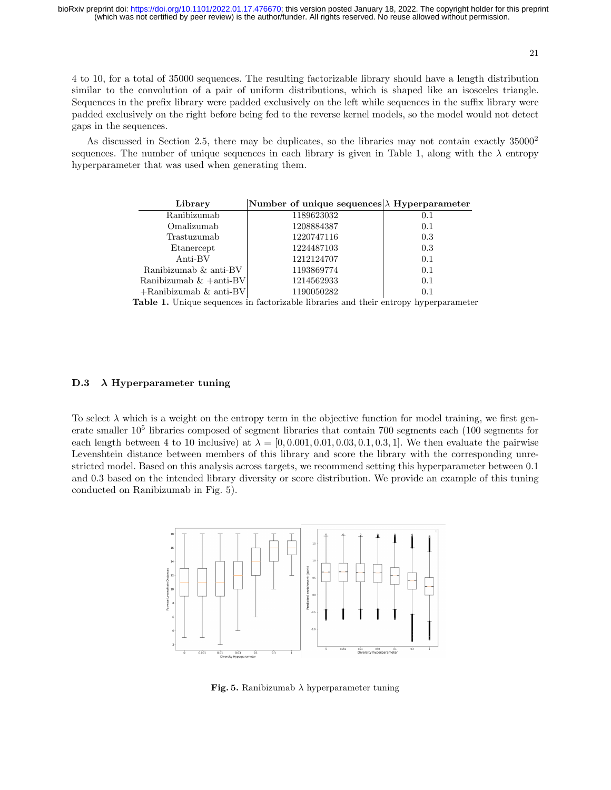21

4 to 10, for a total of 35000 sequences. The resulting factorizable library should have a length distribution similar to the convolution of a pair of uniform distributions, which is shaped like an isosceles triangle. Sequences in the prefix library were padded exclusively on the left while sequences in the suffix library were padded exclusively on the right before being fed to the reverse kernel models, so the model would not detect gaps in the sequences.

As discussed in Section 2.5, there may be duplicates, so the libraries may not contain exactly  $35000^2$ sequences. The number of unique sequences in each library is given in Table 1, along with the  $\lambda$  entropy hyperparameter that was used when generating them.

| Library                   | Number of unique sequences $\lambda$ Hyperparameter |     |
|---------------------------|-----------------------------------------------------|-----|
| Ranibizumab               | 1189623032                                          | 0.1 |
| Omalizumab                | 1208884387                                          | 0.1 |
| Trastuzumab               | 1220747116                                          | 0.3 |
| Etanercept                | 1224487103                                          | 0.3 |
| Anti-BV                   | 1212124707                                          | 0.1 |
| Ranibizumab & anti-BV     | 1193869774                                          | 0.1 |
| Ranibizumab $\&$ +anti-BV | 1214562933                                          | 0.1 |
| $+$ Ranibizumab & anti-BV | 1190050282                                          | 0.1 |

Table 1. Unique sequences in factorizable libraries and their entropy hyperparameter

## D.3  $\lambda$  Hyperparameter tuning

To select  $\lambda$  which is a weight on the entropy term in the objective function for model training, we first generate smaller  $10^5$  libraries composed of segment libraries that contain 700 segments each (100 segments for each length between 4 to 10 inclusive) at  $\lambda = [0, 0.001, 0.01, 0.03, 0.1, 0.3, 1]$ . We then evaluate the pairwise Levenshtein distance between members of this library and score the library with the corresponding unrestricted model. Based on this analysis across targets, we recommend setting this hyperparameter between 0.1 and 0.3 based on the intended library diversity or score distribution. We provide an example of this tuning conducted on Ranibizumab in Fig. 5).



Fig. 5. Ranibizumab  $\lambda$  hyperparameter tuning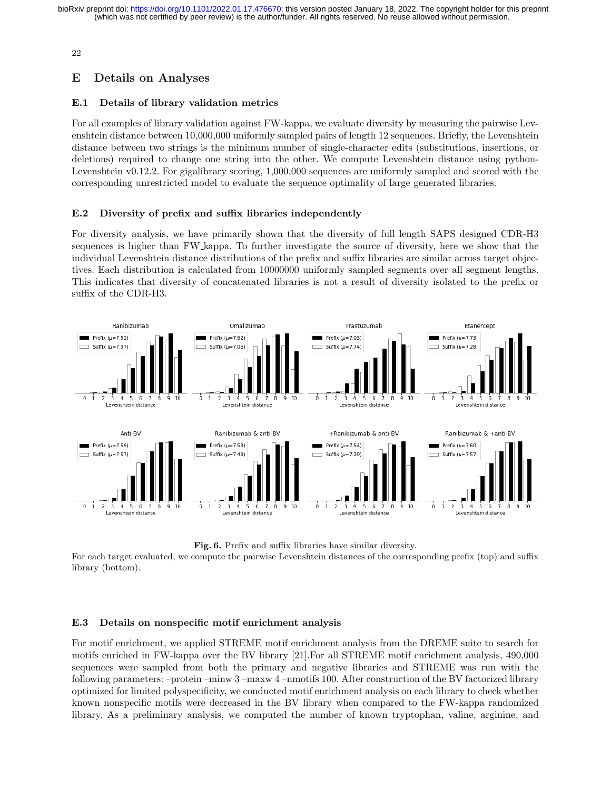22

## E Details on Analyses

## E.1 Details of library validation metrics

For all examples of library validation against FW-kappa, we evaluate diversity by measuring the pairwise Levenshtein distance between 10,000,000 uniformly sampled pairs of length 12 sequences. Briefly, the Levenshtein distance between two strings is the minimum number of single-character edits (substitutions, insertions, or deletions) required to change one string into the other. We compute Levenshtein distance using python-Levenshtein v0.12.2. For gigalibrary scoring, 1,000,000 sequences are uniformly sampled and scored with the corresponding unrestricted model to evaluate the sequence optimality of large generated libraries.

## E.2 Diversity of prefix and suffix libraries independently

For diversity analysis, we have primarily shown that the diversity of full length SAPS designed CDR-H3 sequences is higher than FW kappa. To further investigate the source of diversity, here we show that the individual Levenshtein distance distributions of the prefix and suffix libraries are similar across target objectives. Each distribution is calculated from 10000000 uniformly sampled segments over all segment lengths. This indicates that diversity of concatenated libraries is not a result of diversity isolated to the prefix or suffix of the CDR-H3.



Fig. 6. Prefix and suffix libraries have similar diversity.

For each target evaluated, we compute the pairwise Levenshtein distances of the corresponding prefix (top) and suffix library (bottom).

## E.3 Details on nonspecific motif enrichment analysis

For motif enrichment, we applied STREME motif enrichment analysis from the DREME suite to search for motifs enriched in FW-kappa over the BV library [21].For all STREME motif enrichment analysis, 490,000 sequences were sampled from both the primary and negative libraries and STREME was run with the following parameters: –protein –minw 3 –maxw 4 –nmotifs 100. After construction of the BV factorized library optimized for limited polyspecificity, we conducted motif enrichment analysis on each library to check whether known nonspecific motifs were decreased in the BV library when compared to the FW-kappa randomized library. As a preliminary analysis, we computed the number of known tryptophan, valine, arginine, and